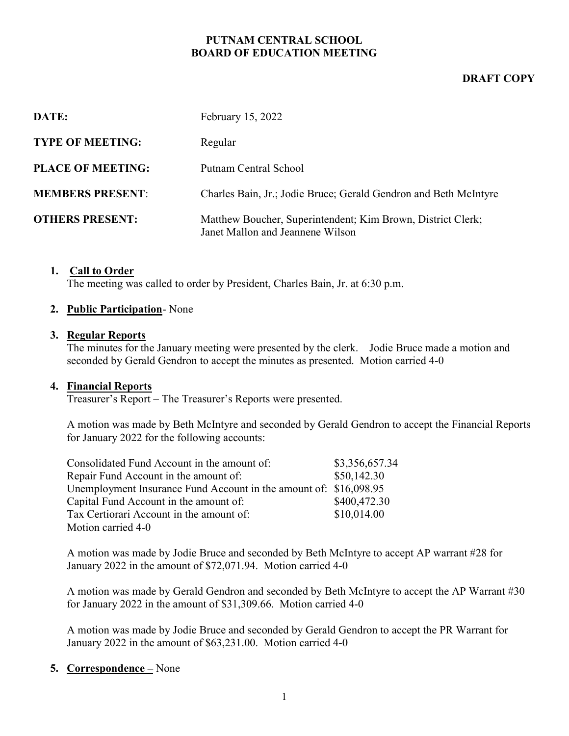## PUTNAM CENTRAL SCHOOL BOARD OF EDUCATION MEETING

## DRAFT COPY

| DATE:                    | February 15, 2022                                                                               |
|--------------------------|-------------------------------------------------------------------------------------------------|
| <b>TYPE OF MEETING:</b>  | Regular                                                                                         |
| <b>PLACE OF MEETING:</b> | Putnam Central School                                                                           |
| <b>MEMBERS PRESENT:</b>  | Charles Bain, Jr.; Jodie Bruce; Gerald Gendron and Beth McIntyre                                |
| <b>OTHERS PRESENT:</b>   | Matthew Boucher, Superintendent; Kim Brown, District Clerk;<br>Janet Mallon and Jeannene Wilson |

#### 1. Call to Order

The meeting was called to order by President, Charles Bain, Jr. at 6:30 p.m.

#### 2. Public Participation-None

#### 3. Regular Reports

The minutes for the January meeting were presented by the clerk. Jodie Bruce made a motion and seconded by Gerald Gendron to accept the minutes as presented. Motion carried 4-0

#### 4. Financial Reports

Treasurer's Report – The Treasurer's Reports were presented.

A motion was made by Beth McIntyre and seconded by Gerald Gendron to accept the Financial Reports for January 2022 for the following accounts:

| Consolidated Fund Account in the amount of:                       | \$3,356,657.34 |
|-------------------------------------------------------------------|----------------|
| Repair Fund Account in the amount of:                             | \$50,142.30    |
| Unemployment Insurance Fund Account in the amount of: \$16,098.95 |                |
| Capital Fund Account in the amount of:                            | \$400,472.30   |
| Tax Certiorari Account in the amount of:                          | \$10,014.00    |
| Motion carried 4-0                                                |                |

A motion was made by Jodie Bruce and seconded by Beth McIntyre to accept AP warrant #28 for January 2022 in the amount of \$72,071.94. Motion carried 4-0

A motion was made by Gerald Gendron and seconded by Beth McIntyre to accept the AP Warrant #30 for January 2022 in the amount of \$31,309.66. Motion carried 4-0

A motion was made by Jodie Bruce and seconded by Gerald Gendron to accept the PR Warrant for January 2022 in the amount of \$63,231.00. Motion carried 4-0

#### 5. Correspondence – None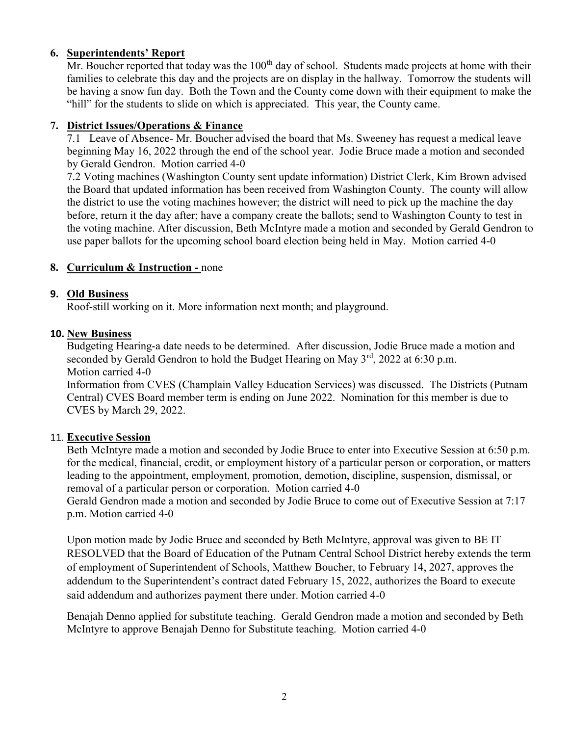## 6. Superintendents' Report

Mr. Boucher reported that today was the  $100<sup>th</sup>$  day of school. Students made projects at home with their families to celebrate this day and the projects are on display in the hallway. Tomorrow the students will be having a snow fun day. Both the Town and the County come down with their equipment to make the "hill" for the students to slide on which is appreciated. This year, the County came.

# 7. District Issues/Operations & Finance

7.1 Leave of Absence- Mr. Boucher advised the board that Ms. Sweeney has request a medical leave beginning May 16, 2022 through the end of the school year. Jodie Bruce made a motion and seconded by Gerald Gendron. Motion carried 4-0

7.2 Voting machines (Washington County sent update information) District Clerk, Kim Brown advised the Board that updated information has been received from Washington County. The county will allow the district to use the voting machines however; the district will need to pick up the machine the day before, return it the day after; have a company create the ballots; send to Washington County to test in the voting machine. After discussion, Beth McIntyre made a motion and seconded by Gerald Gendron to use paper ballots for the upcoming school board election being held in May. Motion carried 4-0

## 8. Curriculum & Instruction - none

## 9. Old Business

Roof-still working on it. More information next month; and playground.

#### 10. New Business

Budgeting Hearing-a date needs to be determined. After discussion, Jodie Bruce made a motion and seconded by Gerald Gendron to hold the Budget Hearing on May  $3^{rd}$ , 2022 at 6:30 p.m. Motion carried 4-0

Information from CVES (Champlain Valley Education Services) was discussed. The Districts (Putnam Central) CVES Board member term is ending on June 2022. Nomination for this member is due to CVES by March 29, 2022.

## 11. Executive Session

Beth McIntyre made a motion and seconded by Jodie Bruce to enter into Executive Session at 6:50 p.m. for the medical, financial, credit, or employment history of a particular person or corporation, or matters leading to the appointment, employment, promotion, demotion, discipline, suspension, dismissal, or removal of a particular person or corporation. Motion carried 4-0

Gerald Gendron made a motion and seconded by Jodie Bruce to come out of Executive Session at 7:17 p.m. Motion carried 4-0

Upon motion made by Jodie Bruce and seconded by Beth McIntyre, approval was given to BE IT RESOLVED that the Board of Education of the Putnam Central School District hereby extends the term of employment of Superintendent of Schools, Matthew Boucher, to February 14, 2027, approves the addendum to the Superintendent's contract dated February 15, 2022, authorizes the Board to execute said addendum and authorizes payment there under. Motion carried 4-0

Benajah Denno applied for substitute teaching. Gerald Gendron made a motion and seconded by Beth McIntyre to approve Benajah Denno for Substitute teaching. Motion carried 4-0